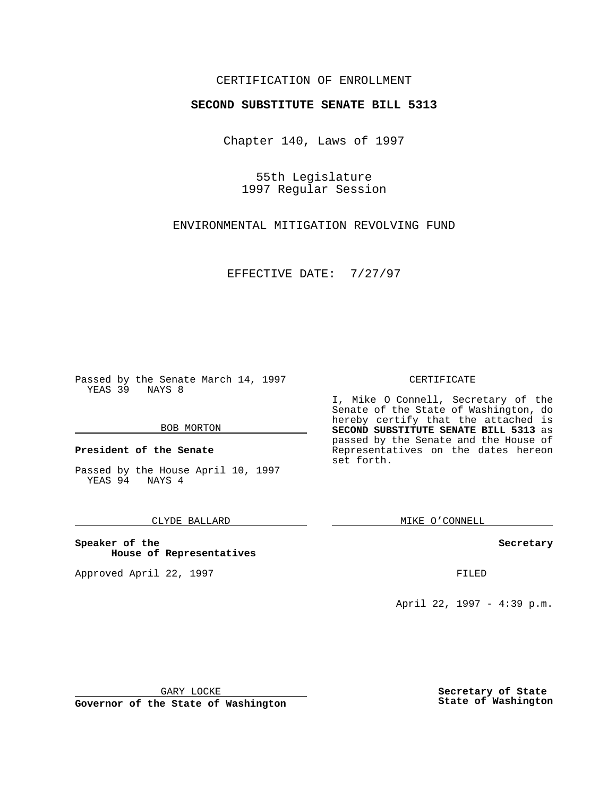## CERTIFICATION OF ENROLLMENT

# **SECOND SUBSTITUTE SENATE BILL 5313**

Chapter 140, Laws of 1997

55th Legislature 1997 Regular Session

ENVIRONMENTAL MITIGATION REVOLVING FUND

EFFECTIVE DATE: 7/27/97

Passed by the Senate March 14, 1997 YEAS 39 NAYS 8

#### BOB MORTON

**President of the Senate**

Passed by the House April 10, 1997 YEAS 94 NAYS 4

### CLYDE BALLARD

**Speaker of the House of Representatives**

Approved April 22, 1997 **FILED** 

#### CERTIFICATE

I, Mike O Connell, Secretary of the Senate of the State of Washington, do hereby certify that the attached is **SECOND SUBSTITUTE SENATE BILL 5313** as passed by the Senate and the House of Representatives on the dates hereon set forth.

MIKE O'CONNELL

#### **Secretary**

April 22, 1997 - 4:39 p.m.

GARY LOCKE

**Governor of the State of Washington**

**Secretary of State State of Washington**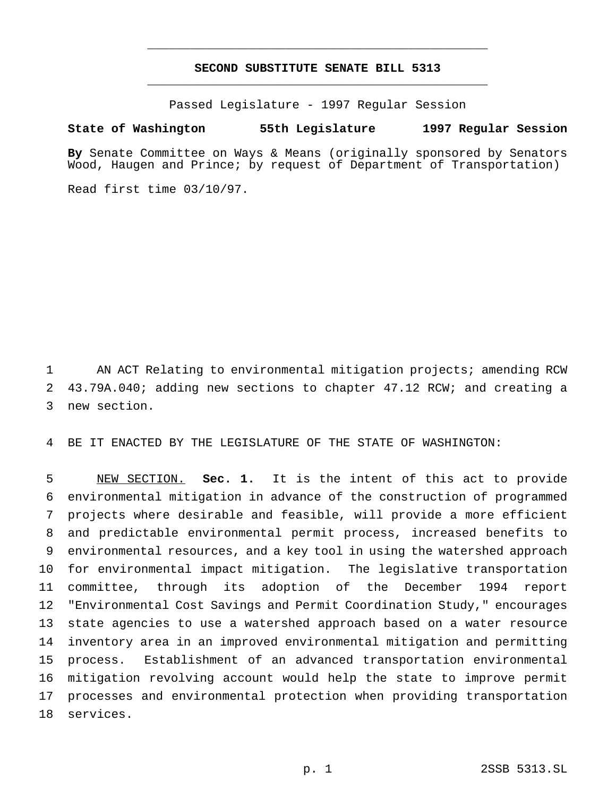# **SECOND SUBSTITUTE SENATE BILL 5313** \_\_\_\_\_\_\_\_\_\_\_\_\_\_\_\_\_\_\_\_\_\_\_\_\_\_\_\_\_\_\_\_\_\_\_\_\_\_\_\_\_\_\_\_\_\_\_

\_\_\_\_\_\_\_\_\_\_\_\_\_\_\_\_\_\_\_\_\_\_\_\_\_\_\_\_\_\_\_\_\_\_\_\_\_\_\_\_\_\_\_\_\_\_\_

Passed Legislature - 1997 Regular Session

### **State of Washington 55th Legislature 1997 Regular Session**

**By** Senate Committee on Ways & Means (originally sponsored by Senators Wood, Haugen and Prince; by request of Department of Transportation)

Read first time 03/10/97.

 AN ACT Relating to environmental mitigation projects; amending RCW 43.79A.040; adding new sections to chapter 47.12 RCW; and creating a new section.

BE IT ENACTED BY THE LEGISLATURE OF THE STATE OF WASHINGTON:

 NEW SECTION. **Sec. 1.** It is the intent of this act to provide environmental mitigation in advance of the construction of programmed projects where desirable and feasible, will provide a more efficient and predictable environmental permit process, increased benefits to environmental resources, and a key tool in using the watershed approach for environmental impact mitigation. The legislative transportation committee, through its adoption of the December 1994 report "Environmental Cost Savings and Permit Coordination Study," encourages state agencies to use a watershed approach based on a water resource inventory area in an improved environmental mitigation and permitting process. Establishment of an advanced transportation environmental mitigation revolving account would help the state to improve permit processes and environmental protection when providing transportation services.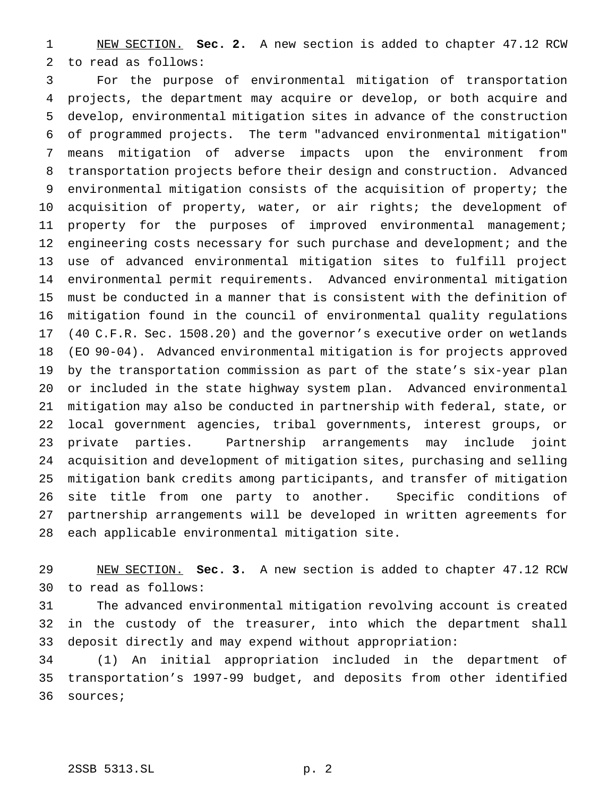NEW SECTION. **Sec. 2.** A new section is added to chapter 47.12 RCW to read as follows:

 For the purpose of environmental mitigation of transportation projects, the department may acquire or develop, or both acquire and develop, environmental mitigation sites in advance of the construction of programmed projects. The term "advanced environmental mitigation" means mitigation of adverse impacts upon the environment from transportation projects before their design and construction. Advanced environmental mitigation consists of the acquisition of property; the acquisition of property, water, or air rights; the development of property for the purposes of improved environmental management; 12 engineering costs necessary for such purchase and development; and the use of advanced environmental mitigation sites to fulfill project environmental permit requirements. Advanced environmental mitigation must be conducted in a manner that is consistent with the definition of mitigation found in the council of environmental quality regulations (40 C.F.R. Sec. 1508.20) and the governor's executive order on wetlands (EO 90-04). Advanced environmental mitigation is for projects approved by the transportation commission as part of the state's six-year plan or included in the state highway system plan. Advanced environmental mitigation may also be conducted in partnership with federal, state, or local government agencies, tribal governments, interest groups, or private parties. Partnership arrangements may include joint acquisition and development of mitigation sites, purchasing and selling mitigation bank credits among participants, and transfer of mitigation site title from one party to another. Specific conditions of partnership arrangements will be developed in written agreements for each applicable environmental mitigation site.

 NEW SECTION. **Sec. 3.** A new section is added to chapter 47.12 RCW to read as follows:

 The advanced environmental mitigation revolving account is created in the custody of the treasurer, into which the department shall deposit directly and may expend without appropriation:

 (1) An initial appropriation included in the department of transportation's 1997-99 budget, and deposits from other identified sources;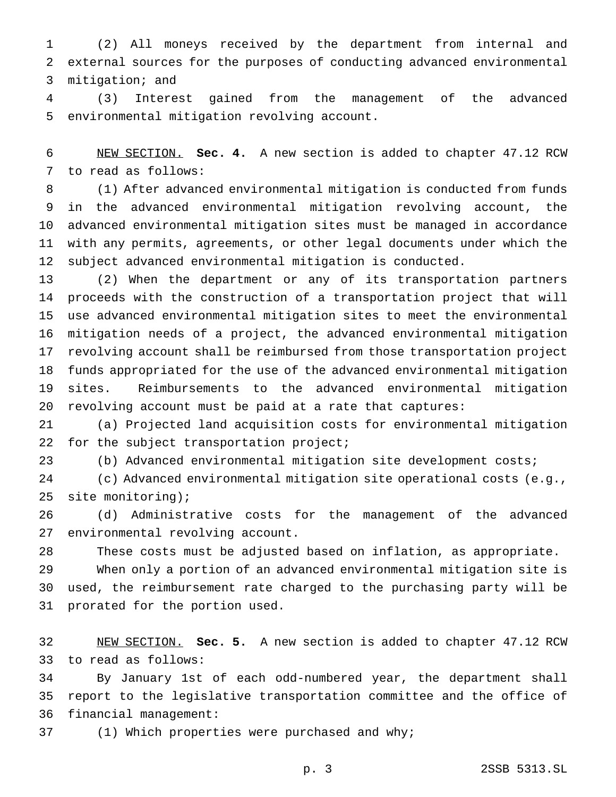(2) All moneys received by the department from internal and external sources for the purposes of conducting advanced environmental mitigation; and

 (3) Interest gained from the management of the advanced environmental mitigation revolving account.

 NEW SECTION. **Sec. 4.** A new section is added to chapter 47.12 RCW to read as follows:

 (1) After advanced environmental mitigation is conducted from funds in the advanced environmental mitigation revolving account, the advanced environmental mitigation sites must be managed in accordance with any permits, agreements, or other legal documents under which the subject advanced environmental mitigation is conducted.

 (2) When the department or any of its transportation partners proceeds with the construction of a transportation project that will use advanced environmental mitigation sites to meet the environmental mitigation needs of a project, the advanced environmental mitigation revolving account shall be reimbursed from those transportation project funds appropriated for the use of the advanced environmental mitigation sites. Reimbursements to the advanced environmental mitigation revolving account must be paid at a rate that captures:

 (a) Projected land acquisition costs for environmental mitigation 22 for the subject transportation project;

(b) Advanced environmental mitigation site development costs;

 (c) Advanced environmental mitigation site operational costs (e.g., site monitoring);

 (d) Administrative costs for the management of the advanced environmental revolving account.

These costs must be adjusted based on inflation, as appropriate.

 When only a portion of an advanced environmental mitigation site is used, the reimbursement rate charged to the purchasing party will be prorated for the portion used.

 NEW SECTION. **Sec. 5.** A new section is added to chapter 47.12 RCW to read as follows:

 By January 1st of each odd-numbered year, the department shall report to the legislative transportation committee and the office of financial management:

(1) Which properties were purchased and why;

p. 3 2SSB 5313.SL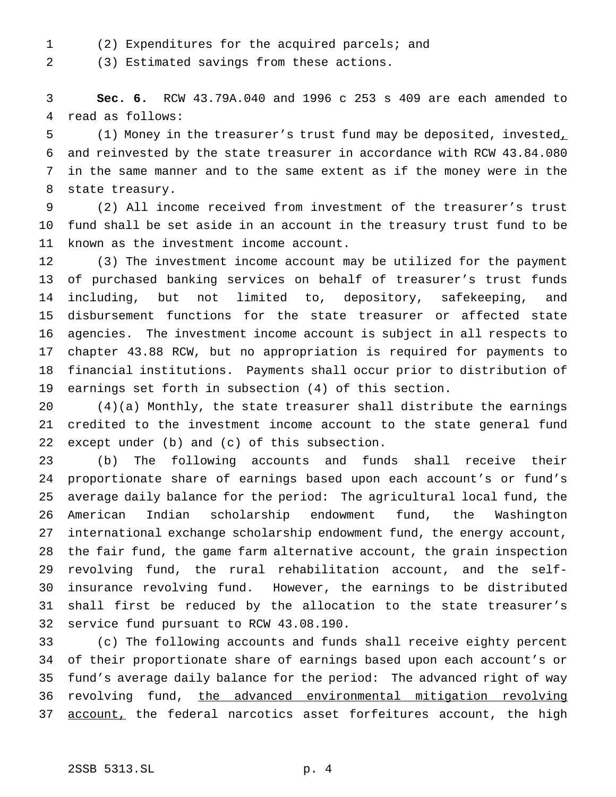(2) Expenditures for the acquired parcels; and

(3) Estimated savings from these actions.

 **Sec. 6.** RCW 43.79A.040 and 1996 c 253 s 409 are each amended to read as follows:

 (1) Money in the treasurer's trust fund may be deposited, invested, and reinvested by the state treasurer in accordance with RCW 43.84.080 in the same manner and to the same extent as if the money were in the state treasury.

 (2) All income received from investment of the treasurer's trust fund shall be set aside in an account in the treasury trust fund to be known as the investment income account.

 (3) The investment income account may be utilized for the payment of purchased banking services on behalf of treasurer's trust funds including, but not limited to, depository, safekeeping, and disbursement functions for the state treasurer or affected state agencies. The investment income account is subject in all respects to chapter 43.88 RCW, but no appropriation is required for payments to financial institutions. Payments shall occur prior to distribution of earnings set forth in subsection (4) of this section.

 (4)(a) Monthly, the state treasurer shall distribute the earnings credited to the investment income account to the state general fund except under (b) and (c) of this subsection.

 (b) The following accounts and funds shall receive their proportionate share of earnings based upon each account's or fund's average daily balance for the period: The agricultural local fund, the American Indian scholarship endowment fund, the Washington international exchange scholarship endowment fund, the energy account, the fair fund, the game farm alternative account, the grain inspection revolving fund, the rural rehabilitation account, and the self- insurance revolving fund. However, the earnings to be distributed shall first be reduced by the allocation to the state treasurer's service fund pursuant to RCW 43.08.190.

 (c) The following accounts and funds shall receive eighty percent of their proportionate share of earnings based upon each account's or fund's average daily balance for the period: The advanced right of way 36 revolving fund, the advanced environmental mitigation revolving 37 account, the federal narcotics asset forfeitures account, the high